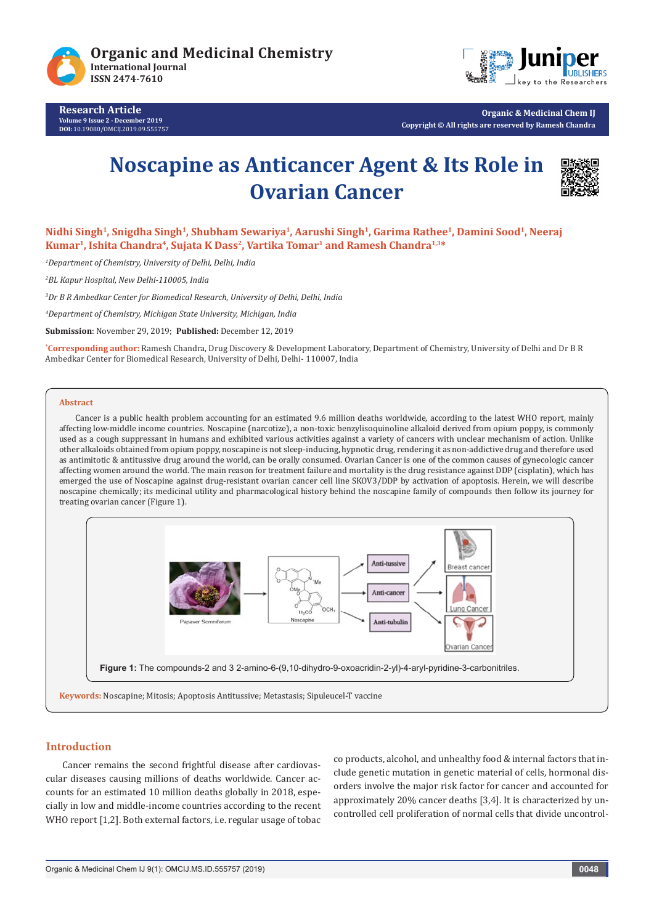

**Research Article Volume 9 Issue 2 - December 2019 DOI:** [10.19080/OMCIJ.2019.09.555757](http://dx.doi.org/10.19080/OMCIJ.2019.09.555757)



**Organic & Medicinal Chem IJ Copyright © All rights are reserved by Ramesh Chandra**

# **Noscapine as Anticancer Agent & Its Role in Ovarian Cancer**



**Nidhi Singh1, Snigdha Singh1, Shubham Sewariya1, Aarushi Singh1, Garima Rathee1, Damini Sood1, Neeraj**  Kumar<sup>1</sup>, Ishita Chandra<sup>4</sup>, Sujata K Dass<sup>2</sup>, Vartika Tomar<sup>1</sup> and Ramesh Chandra<sup>1,3\*</sup>

*1 Department of Chemistry, University of Delhi, Delhi, India*

*2 BL Kapur Hospital, New Delhi-110005, India*

*3 Dr B R Ambedkar Center for Biomedical Research, University of Delhi, Delhi, India*

*4 Department of Chemistry, Michigan State University, Michigan, India*

**Submission**: November 29, 2019; **Published:** December 12, 2019

**\* Corresponding author:** Ramesh Chandra, Drug Discovery & Development Laboratory, Department of Chemistry, University of Delhi and Dr B R Ambedkar Center for Biomedical Research, University of Delhi, Delhi- 110007, India

#### **Abstract**

Cancer is a public health problem accounting for an estimated 9.6 million deaths worldwide, according to the latest WHO report, mainly affecting low-middle income countries. Noscapine (narcotize), a non-toxic benzylisoquinoline alkaloid derived from opium poppy, is commonly used as a cough suppressant in humans and exhibited various activities against a variety of cancers with unclear mechanism of action. Unlike other alkaloids obtained from opium poppy, noscapine is not sleep-inducing, hypnotic drug, rendering it as non-addictive drug and therefore used as antimitotic & antitussive drug around the world, can be orally consumed. Ovarian Cancer is one of the common causes of gynecologic cancer affecting women around the world. The main reason for treatment failure and mortality is the drug resistance against DDP (cisplatin), which has emerged the use of Noscapine against drug-resistant ovarian cancer cell line SKOV3/DDP by activation of apoptosis. Herein, we will describe noscapine chemically; its medicinal utility and pharmacological history behind the noscapine family of compounds then follow its journey for treating ovarian cancer (Figure 1).



## **Introduction**

Cancer remains the second frightful disease after cardiovascular diseases causing millions of deaths worldwide. Cancer accounts for an estimated 10 million deaths globally in 2018, especially in low and middle-income countries according to the recent WHO report [1,2]. Both external factors, i.e. regular usage of tobac co products, alcohol, and unhealthy food & internal factors that include genetic mutation in genetic material of cells, hormonal disorders involve the major risk factor for cancer and accounted for approximately 20% cancer deaths [3,4]. It is characterized by uncontrolled cell proliferation of normal cells that divide uncontrol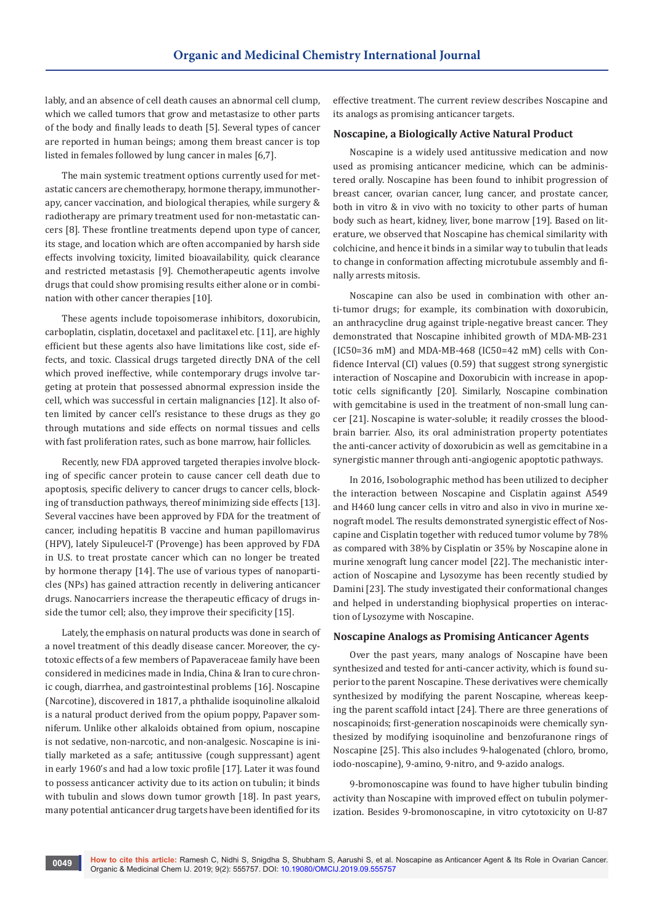lably, and an absence of cell death causes an abnormal cell clump, which we called tumors that grow and metastasize to other parts of the body and finally leads to death [5]. Several types of cancer are reported in human beings; among them breast cancer is top listed in females followed by lung cancer in males [6,7].

The main systemic treatment options currently used for metastatic cancers are chemotherapy, hormone therapy, immunotherapy, cancer vaccination, and biological therapies, while surgery & radiotherapy are primary treatment used for non-metastatic cancers [8]. These frontline treatments depend upon type of cancer, its stage, and location which are often accompanied by harsh side effects involving toxicity, limited bioavailability, quick clearance and restricted metastasis [9]. Chemotherapeutic agents involve drugs that could show promising results either alone or in combination with other cancer therapies [10].

These agents include topoisomerase inhibitors, doxorubicin, carboplatin, cisplatin, docetaxel and paclitaxel etc. [11], are highly efficient but these agents also have limitations like cost, side effects, and toxic. Classical drugs targeted directly DNA of the cell which proved ineffective, while contemporary drugs involve targeting at protein that possessed abnormal expression inside the cell, which was successful in certain malignancies [12]. It also often limited by cancer cell's resistance to these drugs as they go through mutations and side effects on normal tissues and cells with fast proliferation rates, such as bone marrow, hair follicles.

Recently, new FDA approved targeted therapies involve blocking of specific cancer protein to cause cancer cell death due to apoptosis, specific delivery to cancer drugs to cancer cells, blocking of transduction pathways, thereof minimizing side effects [13]. Several vaccines have been approved by FDA for the treatment of cancer, including hepatitis B vaccine and human papillomavirus (HPV), lately Sipuleucel-T (Provenge) has been approved by FDA in U.S. to treat prostate cancer which can no longer be treated by hormone therapy [14]. The use of various types of nanoparticles (NPs) has gained attraction recently in delivering anticancer drugs. Nanocarriers increase the therapeutic efficacy of drugs inside the tumor cell; also, they improve their specificity [15].

Lately, the emphasis on natural products was done in search of a novel treatment of this deadly disease cancer. Moreover, the cytotoxic effects of a few members of Papaveraceae family have been considered in medicines made in India, China & Iran to cure chronic cough, diarrhea, and gastrointestinal problems [16]. Noscapine (Narcotine), discovered in 1817, a phthalide isoquinoline alkaloid is a natural product derived from the opium poppy, Papaver somniferum. Unlike other alkaloids obtained from opium, noscapine is not sedative, non-narcotic, and non-analgesic. Noscapine is initially marketed as a safe; antitussive (cough suppressant) agent in early 1960's and had a low toxic profile [17]. Later it was found to possess anticancer activity due to its action on tubulin; it binds with tubulin and slows down tumor growth [18]. In past years, many potential anticancer drug targets have been identified for its

effective treatment. The current review describes Noscapine and its analogs as promising anticancer targets.

## **Noscapine, a Biologically Active Natural Product**

Noscapine is a widely used antitussive medication and now used as promising anticancer medicine, which can be administered orally. Noscapine has been found to inhibit progression of breast cancer, ovarian cancer, lung cancer, and prostate cancer, both in vitro & in vivo with no toxicity to other parts of human body such as heart, kidney, liver, bone marrow [19]. Based on literature, we observed that Noscapine has chemical similarity with colchicine, and hence it binds in a similar way to tubulin that leads to change in conformation affecting microtubule assembly and finally arrests mitosis.

Noscapine can also be used in combination with other anti-tumor drugs; for example, its combination with doxorubicin, an anthracycline drug against triple-negative breast cancer. They demonstrated that Noscapine inhibited growth of MDA-MB-231 (IC50=36 mM) and MDA-MB-468 (IC50=42 mM) cells with Confidence Interval (CI) values (0.59) that suggest strong synergistic interaction of Noscapine and Doxorubicin with increase in apoptotic cells significantly [20]. Similarly, Noscapine combination with gemcitabine is used in the treatment of non-small lung cancer [21]. Noscapine is water-soluble; it readily crosses the bloodbrain barrier. Also, its oral administration property potentiates the anti-cancer activity of doxorubicin as well as gemcitabine in a synergistic manner through anti-angiogenic apoptotic pathways.

In 2016, Isobolographic method has been utilized to decipher the interaction between Noscapine and Cisplatin against A549 and H460 lung cancer cells in vitro and also in vivo in murine xenograft model. The results demonstrated synergistic effect of Noscapine and Cisplatin together with reduced tumor volume by 78% as compared with 38% by Cisplatin or 35% by Noscapine alone in murine xenograft lung cancer model [22]. The mechanistic interaction of Noscapine and Lysozyme has been recently studied by Damini [23]. The study investigated their conformational changes and helped in understanding biophysical properties on interaction of Lysozyme with Noscapine.

#### **Noscapine Analogs as Promising Anticancer Agents**

Over the past years, many analogs of Noscapine have been synthesized and tested for anti-cancer activity, which is found superior to the parent Noscapine. These derivatives were chemically synthesized by modifying the parent Noscapine, whereas keeping the parent scaffold intact [24]. There are three generations of noscapinoids; first-generation noscapinoids were chemically synthesized by modifying isoquinoline and benzofuranone rings of Noscapine [25]. This also includes 9-halogenated (chloro, bromo, iodo-noscapine), 9-amino, 9-nitro, and 9-azido analogs.

9-bromonoscapine was found to have higher tubulin binding activity than Noscapine with improved effect on tubulin polymerization. Besides 9-bromonoscapine, in vitro cytotoxicity on U-87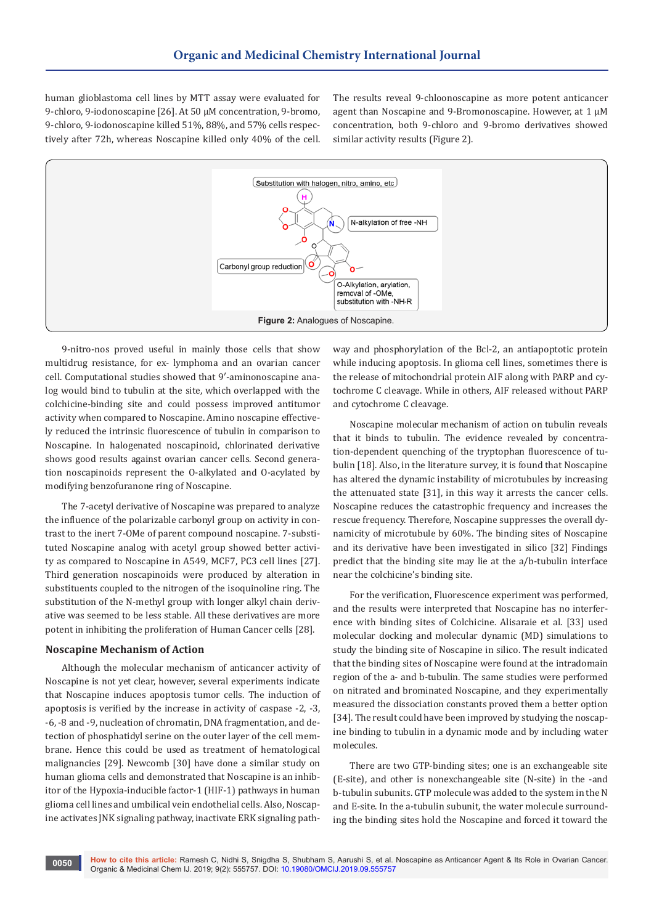human glioblastoma cell lines by MTT assay were evaluated for 9-chloro, 9-iodonoscapine [26]. At 50 μM concentration, 9-bromo, 9-chloro, 9-iodonoscapine killed 51%, 88%, and 57% cells respectively after 72h, whereas Noscapine killed only 40% of the cell. The results reveal 9-chloonoscapine as more potent anticancer agent than Noscapine and 9-Bromonoscapine. However, at 1 μM concentration, both 9-chloro and 9-bromo derivatives showed similar activity results (Figure 2).



9-nitro-nos proved useful in mainly those cells that show multidrug resistance, for ex- lymphoma and an ovarian cancer cell. Computational studies showed that 9′-aminonoscapine analog would bind to tubulin at the site, which overlapped with the colchicine-binding site and could possess improved antitumor activity when compared to Noscapine. Amino noscapine effectively reduced the intrinsic fluorescence of tubulin in comparison to Noscapine. In halogenated noscapinoid, chlorinated derivative shows good results against ovarian cancer cells. Second generation noscapinoids represent the O-alkylated and O-acylated by modifying benzofuranone ring of Noscapine.

The 7-acetyl derivative of Noscapine was prepared to analyze the influence of the polarizable carbonyl group on activity in contrast to the inert 7-OMe of parent compound noscapine. 7-substituted Noscapine analog with acetyl group showed better activity as compared to Noscapine in A549, MCF7, PC3 cell lines [27]. Third generation noscapinoids were produced by alteration in substituents coupled to the nitrogen of the isoquinoline ring. The substitution of the N-methyl group with longer alkyl chain derivative was seemed to be less stable. All these derivatives are more potent in inhibiting the proliferation of Human Cancer cells [28].

## **Noscapine Mechanism of Action**

Although the molecular mechanism of anticancer activity of Noscapine is not yet clear, however, several experiments indicate that Noscapine induces apoptosis tumor cells. The induction of apoptosis is verified by the increase in activity of caspase -2, -3, -6, -8 and -9, nucleation of chromatin, DNA fragmentation, and detection of phosphatidyl serine on the outer layer of the cell membrane. Hence this could be used as treatment of hematological malignancies [29]. Newcomb [30] have done a similar study on human glioma cells and demonstrated that Noscapine is an inhibitor of the Hypoxia-inducible factor-1 (HIF-1) pathways in human glioma cell lines and umbilical vein endothelial cells. Also, Noscapine activates JNK signaling pathway, inactivate ERK signaling pathway and phosphorylation of the Bcl-2, an antiapoptotic protein while inducing apoptosis. In glioma cell lines, sometimes there is the release of mitochondrial protein AIF along with PARP and cytochrome C cleavage. While in others, AIF released without PARP and cytochrome C cleavage.

Noscapine molecular mechanism of action on tubulin reveals that it binds to tubulin. The evidence revealed by concentration-dependent quenching of the tryptophan fluorescence of tubulin [18]. Also, in the literature survey, it is found that Noscapine has altered the dynamic instability of microtubules by increasing the attenuated state [31], in this way it arrests the cancer cells. Noscapine reduces the catastrophic frequency and increases the rescue frequency. Therefore, Noscapine suppresses the overall dynamicity of microtubule by 60%. The binding sites of Noscapine and its derivative have been investigated in silico [32] Findings predict that the binding site may lie at the a/b-tubulin interface near the colchicine's binding site.

For the verification, Fluorescence experiment was performed, and the results were interpreted that Noscapine has no interference with binding sites of Colchicine. Alisaraie et al. [33] used molecular docking and molecular dynamic (MD) simulations to study the binding site of Noscapine in silico. The result indicated that the binding sites of Noscapine were found at the intradomain region of the a- and b-tubulin. The same studies were performed on nitrated and brominated Noscapine, and they experimentally measured the dissociation constants proved them a better option [34]. The result could have been improved by studying the noscapine binding to tubulin in a dynamic mode and by including water molecules.

There are two GTP-binding sites; one is an exchangeable site (E-site), and other is nonexchangeable site (N-site) in the -and b-tubulin subunits. GTP molecule was added to the system in the N and E-site. In the a-tubulin subunit, the water molecule surrounding the binding sites hold the Noscapine and forced it toward the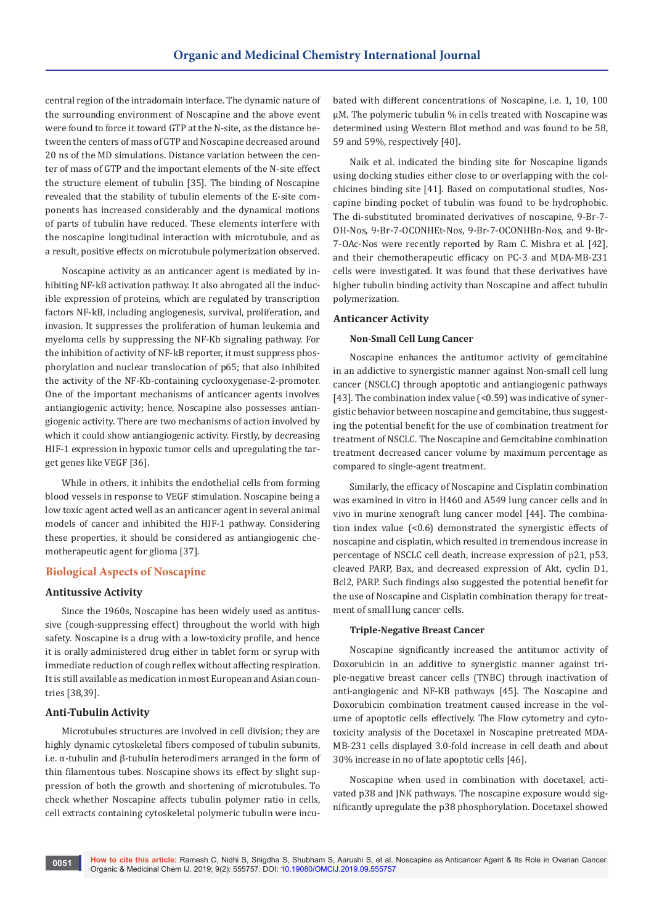central region of the intradomain interface. The dynamic nature of the surrounding environment of Noscapine and the above event were found to force it toward GTP at the N-site, as the distance between the centers of mass of GTP and Noscapine decreased around 20 ns of the MD simulations. Distance variation between the center of mass of GTP and the important elements of the N-site effect the structure element of tubulin [35]. The binding of Noscapine revealed that the stability of tubulin elements of the E-site components has increased considerably and the dynamical motions of parts of tubulin have reduced. These elements interfere with the noscapine longitudinal interaction with microtubule, and as a result, positive effects on microtubule polymerization observed.

Noscapine activity as an anticancer agent is mediated by inhibiting NF-kB activation pathway. It also abrogated all the inducible expression of proteins, which are regulated by transcription factors NF-kB, including angiogenesis, survival, proliferation, and invasion. It suppresses the proliferation of human leukemia and myeloma cells by suppressing the NF-Kb signaling pathway. For the inhibition of activity of NF-kB reporter, it must suppress phosphorylation and nuclear translocation of p65; that also inhibited the activity of the NF-Kb-containing cyclooxygenase-2-promoter. One of the important mechanisms of anticancer agents involves antiangiogenic activity; hence, Noscapine also possesses antiangiogenic activity. There are two mechanisms of action involved by which it could show antiangiogenic activity. Firstly, by decreasing HIF-1 expression in hypoxic tumor cells and upregulating the target genes like VEGF [36].

While in others, it inhibits the endothelial cells from forming blood vessels in response to VEGF stimulation. Noscapine being a low toxic agent acted well as an anticancer agent in several animal models of cancer and inhibited the HIF-1 pathway. Considering these properties, it should be considered as antiangiogenic chemotherapeutic agent for glioma [37].

## **Biological Aspects of Noscapine**

#### **Antitussive Activity**

Since the 1960s, Noscapine has been widely used as antitussive (cough-suppressing effect) throughout the world with high safety. Noscapine is a drug with a low-toxicity profile, and hence it is orally administered drug either in tablet form or syrup with immediate reduction of cough reflex without affecting respiration. It is still available as medication in most European and Asian countries [38,39].

## **Anti-Tubulin Activity**

Microtubules structures are involved in cell division; they are highly dynamic cytoskeletal fibers composed of tubulin subunits, i.e. α-tubulin and β-tubulin heterodimers arranged in the form of thin filamentous tubes. Noscapine shows its effect by slight suppression of both the growth and shortening of microtubules. To check whether Noscapine affects tubulin polymer ratio in cells, cell extracts containing cytoskeletal polymeric tubulin were incubated with different concentrations of Noscapine, i.e. 1, 10, 100 μM. The polymeric tubulin % in cells treated with Noscapine was determined using Western Blot method and was found to be 58, 59 and 59%, respectively [40].

Naik et al. indicated the binding site for Noscapine ligands using docking studies either close to or overlapping with the colchicines binding site [41]. Based on computational studies, Noscapine binding pocket of tubulin was found to be hydrophobic. The di-substituted brominated derivatives of noscapine, 9-Br-7- OH-Nos, 9-Br-7-OCONHEt-Nos, 9-Br-7-OCONHBn-Nos, and 9-Br-7-OAc-Nos were recently reported by Ram C. Mishra et al. [42], and their chemotherapeutic efficacy on PC-3 and MDA-MB-231 cells were investigated. It was found that these derivatives have higher tubulin binding activity than Noscapine and affect tubulin polymerization.

#### **Anticancer Activity**

#### **Non-Small Cell Lung Cancer**

Noscapine enhances the antitumor activity of gemcitabine in an addictive to synergistic manner against Non-small cell lung cancer (NSCLC) through apoptotic and antiangiogenic pathways [43]. The combination index value (<0.59) was indicative of synergistic behavior between noscapine and gemcitabine, thus suggesting the potential benefit for the use of combination treatment for treatment of NSCLC. The Noscapine and Gemcitabine combination treatment decreased cancer volume by maximum percentage as compared to single-agent treatment.

Similarly, the efficacy of Noscapine and Cisplatin combination was examined in vitro in H460 and A549 lung cancer cells and in vivo in murine xenograft lung cancer model [44]. The combination index value (<0.6) demonstrated the synergistic effects of noscapine and cisplatin, which resulted in tremendous increase in percentage of NSCLC cell death, increase expression of p21, p53, cleaved PARP, Bax, and decreased expression of Akt, cyclin D1, Bcl2, PARP. Such findings also suggested the potential benefit for the use of Noscapine and Cisplatin combination therapy for treatment of small lung cancer cells.

#### **Triple-Negative Breast Cancer**

Noscapine significantly increased the antitumor activity of Doxorubicin in an additive to synergistic manner against triple-negative breast cancer cells (TNBC) through inactivation of anti-angiogenic and NF-KB pathways [45]. The Noscapine and Doxorubicin combination treatment caused increase in the volume of apoptotic cells effectively. The Flow cytometry and cytotoxicity analysis of the Docetaxel in Noscapine pretreated MDA-MB-231 cells displayed 3.0-fold increase in cell death and about 30% increase in no of late apoptotic cells [46].

Noscapine when used in combination with docetaxel, activated p38 and JNK pathways. The noscapine exposure would significantly upregulate the p38 phosphorylation. Docetaxel showed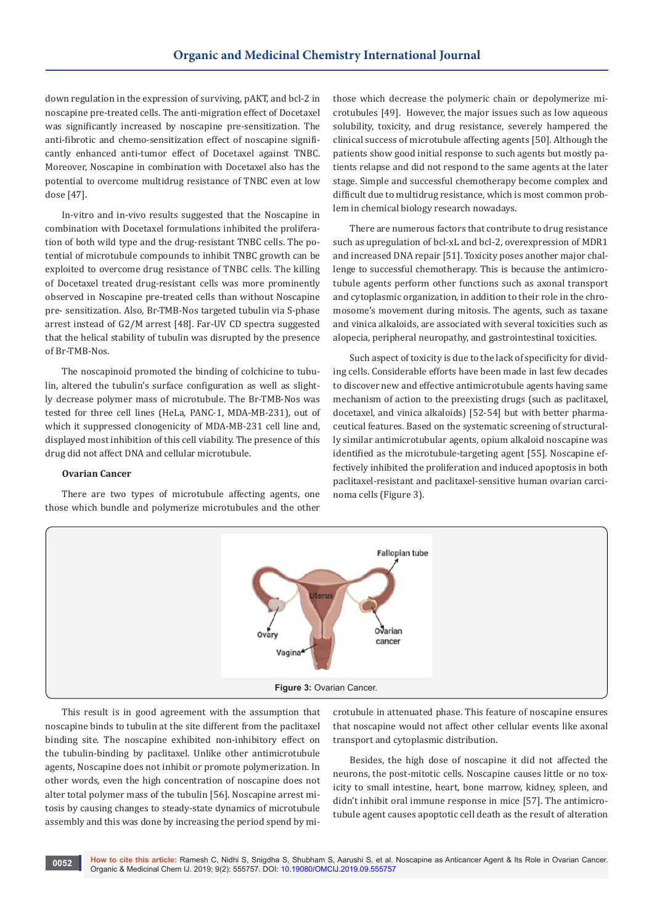down regulation in the expression of surviving, pAKT, and bcl-2 in noscapine pre-treated cells. The anti-migration effect of Docetaxel was significantly increased by noscapine pre-sensitization. The anti-fibrotic and chemo-sensitization effect of noscapine significantly enhanced anti-tumor effect of Docetaxel against TNBC. Moreover, Noscapine in combination with Docetaxel also has the potential to overcome multidrug resistance of TNBC even at low dose [47].

In-vitro and in-vivo results suggested that the Noscapine in combination with Docetaxel formulations inhibited the proliferation of both wild type and the drug-resistant TNBC cells. The potential of microtubule compounds to inhibit TNBC growth can be exploited to overcome drug resistance of TNBC cells. The killing of Docetaxel treated drug-resistant cells was more prominently observed in Noscapine pre-treated cells than without Noscapine pre- sensitization. Also, Br-TMB-Nos targeted tubulin via S-phase arrest instead of G2/M arrest [48]. Far-UV CD spectra suggested that the helical stability of tubulin was disrupted by the presence of Br-TMB-Nos.

The noscapinoid promoted the binding of colchicine to tubulin, altered the tubulin's surface configuration as well as slightly decrease polymer mass of microtubule. The Br-TMB-Nos was tested for three cell lines (HeLa, PANC-1, MDA-MB-231), out of which it suppressed clonogenicity of MDA-MB-231 cell line and, displayed most inhibition of this cell viability. The presence of this drug did not affect DNA and cellular microtubule.

# **Ovarian Cancer**

There are two types of microtubule affecting agents, one those which bundle and polymerize microtubules and the other those which decrease the polymeric chain or depolymerize microtubules [49]. However, the major issues such as low aqueous solubility, toxicity, and drug resistance, severely hampered the clinical success of microtubule affecting agents [50]. Although the patients show good initial response to such agents but mostly patients relapse and did not respond to the same agents at the later stage. Simple and successful chemotherapy become complex and difficult due to multidrug resistance, which is most common problem in chemical biology research nowadays.

There are numerous factors that contribute to drug resistance such as upregulation of bcl-xL and bcl-2, overexpression of MDR1 and increased DNA repair [51]. Toxicity poses another major challenge to successful chemotherapy. This is because the antimicrotubule agents perform other functions such as axonal transport and cytoplasmic organization, in addition to their role in the chromosome's movement during mitosis. The agents, such as taxane and vinica alkaloids, are associated with several toxicities such as alopecia, peripheral neuropathy, and gastrointestinal toxicities.

Such aspect of toxicity is due to the lack of specificity for dividing cells. Considerable efforts have been made in last few decades to discover new and effective antimicrotubule agents having same mechanism of action to the preexisting drugs (such as paclitaxel, docetaxel, and vinica alkaloids) [52-54] but with better pharmaceutical features. Based on the systematic screening of structurally similar antimicrotubular agents, opium alkaloid noscapine was identified as the microtubule-targeting agent [55]. Noscapine effectively inhibited the proliferation and induced apoptosis in both paclitaxel-resistant and paclitaxel-sensitive human ovarian carcinoma cells (Figure 3).



This result is in good agreement with the assumption that noscapine binds to tubulin at the site different from the paclitaxel binding site. The noscapine exhibited non-inhibitory effect on the tubulin-binding by paclitaxel. Unlike other antimicrotubule agents, Noscapine does not inhibit or promote polymerization. In other words, even the high concentration of noscapine does not alter total polymer mass of the tubulin [56]. Noscapine arrest mitosis by causing changes to steady-state dynamics of microtubule assembly and this was done by increasing the period spend by microtubule in attenuated phase. This feature of noscapine ensures that noscapine would not affect other cellular events like axonal transport and cytoplasmic distribution.

Besides, the high dose of noscapine it did not affected the neurons, the post-mitotic cells. Noscapine causes little or no toxicity to small intestine, heart, bone marrow, kidney, spleen, and didn't inhibit oral immune response in mice [57]. The antimicrotubule agent causes apoptotic cell death as the result of alteration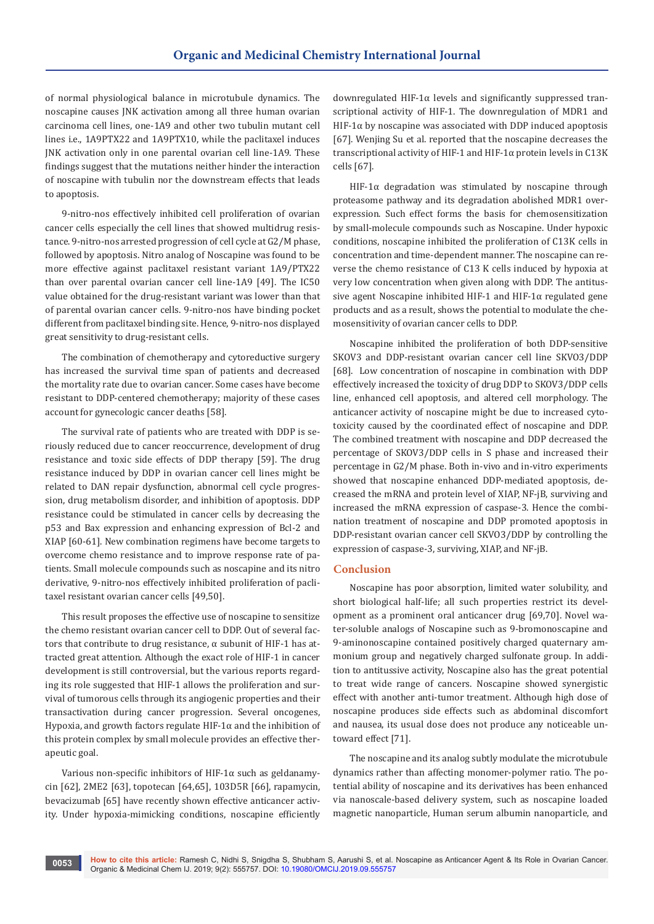of normal physiological balance in microtubule dynamics. The noscapine causes JNK activation among all three human ovarian carcinoma cell lines, one-1A9 and other two tubulin mutant cell lines i.e., 1A9PTX22 and 1A9PTX10, while the paclitaxel induces JNK activation only in one parental ovarian cell line-1A9. These findings suggest that the mutations neither hinder the interaction of noscapine with tubulin nor the downstream effects that leads to apoptosis.

9-nitro-nos effectively inhibited cell proliferation of ovarian cancer cells especially the cell lines that showed multidrug resistance. 9-nitro-nos arrested progression of cell cycle at G2/M phase, followed by apoptosis. Nitro analog of Noscapine was found to be more effective against paclitaxel resistant variant 1A9/PTX22 than over parental ovarian cancer cell line-1A9 [49]. The IC50 value obtained for the drug-resistant variant was lower than that of parental ovarian cancer cells. 9-nitro-nos have binding pocket different from paclitaxel binding site. Hence, 9-nitro-nos displayed great sensitivity to drug-resistant cells.

The combination of chemotherapy and cytoreductive surgery has increased the survival time span of patients and decreased the mortality rate due to ovarian cancer. Some cases have become resistant to DDP-centered chemotherapy; majority of these cases account for gynecologic cancer deaths [58].

The survival rate of patients who are treated with DDP is seriously reduced due to cancer reoccurrence, development of drug resistance and toxic side effects of DDP therapy [59]. The drug resistance induced by DDP in ovarian cancer cell lines might be related to DAN repair dysfunction, abnormal cell cycle progression, drug metabolism disorder, and inhibition of apoptosis. DDP resistance could be stimulated in cancer cells by decreasing the p53 and Bax expression and enhancing expression of Bcl-2 and XIAP [60-61]. New combination regimens have become targets to overcome chemo resistance and to improve response rate of patients. Small molecule compounds such as noscapine and its nitro derivative, 9-nitro-nos effectively inhibited proliferation of paclitaxel resistant ovarian cancer cells [49,50].

This result proposes the effective use of noscapine to sensitize the chemo resistant ovarian cancer cell to DDP. Out of several factors that contribute to drug resistance, α subunit of HIF-1 has attracted great attention. Although the exact role of HIF-1 in cancer development is still controversial, but the various reports regarding its role suggested that HIF-1 allows the proliferation and survival of tumorous cells through its angiogenic properties and their transactivation during cancer progression. Several oncogenes, Hypoxia, and growth factors regulate HIF-1 $\alpha$  and the inhibition of this protein complex by small molecule provides an effective therapeutic goal.

Various non-specific inhibitors of HIF-1 $\alpha$  such as geldanamycin [62], 2ME2 [63], topotecan [64,65], 103D5R [66], rapamycin, bevacizumab [65] have recently shown effective anticancer activity. Under hypoxia-mimicking conditions, noscapine efficiently

downregulated HIF-1α levels and significantly suppressed transcriptional activity of HIF-1. The downregulation of MDR1 and HIF-1 $\alpha$  by noscapine was associated with DDP induced apoptosis [67]. Wenjing Su et al. reported that the noscapine decreases the transcriptional activity of HIF-1 and HIF-1α protein levels in C13K cells [67].

HIF-1 $\alpha$  degradation was stimulated by noscapine through proteasome pathway and its degradation abolished MDR1 overexpression. Such effect forms the basis for chemosensitization by small-molecule compounds such as Noscapine. Under hypoxic conditions, noscapine inhibited the proliferation of C13K cells in concentration and time-dependent manner. The noscapine can reverse the chemo resistance of C13 K cells induced by hypoxia at very low concentration when given along with DDP. The antitussive agent Noscapine inhibited HIF-1 and HIF-1α regulated gene products and as a result, shows the potential to modulate the chemosensitivity of ovarian cancer cells to DDP.

Noscapine inhibited the proliferation of both DDP-sensitive SKOV3 and DDP-resistant ovarian cancer cell line SKVO3/DDP [68]. Low concentration of noscapine in combination with DDP effectively increased the toxicity of drug DDP to SKOV3/DDP cells line, enhanced cell apoptosis, and altered cell morphology. The anticancer activity of noscapine might be due to increased cytotoxicity caused by the coordinated effect of noscapine and DDP. The combined treatment with noscapine and DDP decreased the percentage of SKOV3/DDP cells in S phase and increased their percentage in G2/M phase. Both in-vivo and in-vitro experiments showed that noscapine enhanced DDP-mediated apoptosis, decreased the mRNA and protein level of XIAP, NF-jB, surviving and increased the mRNA expression of caspase-3. Hence the combination treatment of noscapine and DDP promoted apoptosis in DDP-resistant ovarian cancer cell SKVO3/DDP by controlling the expression of caspase-3, surviving, XIAP, and NF-jB.

# **Conclusion**

Noscapine has poor absorption, limited water solubility, and short biological half-life; all such properties restrict its development as a prominent oral anticancer drug [69,70]. Novel water-soluble analogs of Noscapine such as 9-bromonoscapine and 9-aminonoscapine contained positively charged quaternary ammonium group and negatively charged sulfonate group. In addition to antitussive activity, Noscapine also has the great potential to treat wide range of cancers. Noscapine showed synergistic effect with another anti-tumor treatment. Although high dose of noscapine produces side effects such as abdominal discomfort and nausea, its usual dose does not produce any noticeable untoward effect [71].

The noscapine and its analog subtly modulate the microtubule dynamics rather than affecting monomer-polymer ratio. The potential ability of noscapine and its derivatives has been enhanced via nanoscale-based delivery system, such as noscapine loaded magnetic nanoparticle, Human serum albumin nanoparticle, and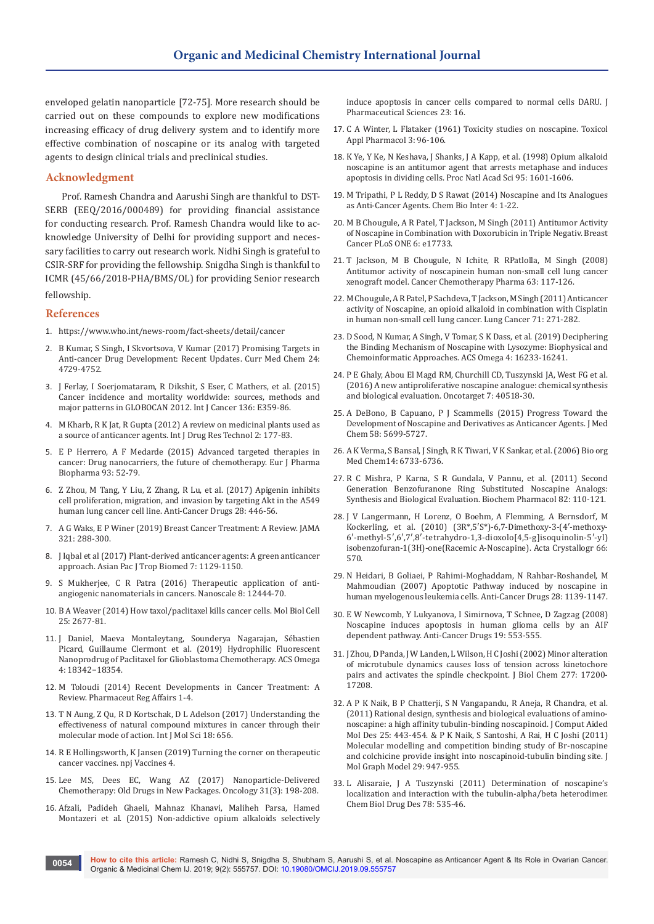enveloped gelatin nanoparticle [72-75]. More research should be carried out on these compounds to explore new modifications increasing efficacy of drug delivery system and to identify more effective combination of noscapine or its analog with targeted agents to design clinical trials and preclinical studies.

# **Acknowledgment**

Prof. Ramesh Chandra and Aarushi Singh are thankful to DST-SERB (EEQ/2016/000489) for providing financial assistance for conducting research. Prof. Ramesh Chandra would like to acknowledge University of Delhi for providing support and necessary facilities to carry out research work. Nidhi Singh is grateful to CSIR-SRF for providing the fellowship. Snigdha Singh is thankful to ICMR (45/66/2018-PHA/BMS/OL) for providing Senior research fellowship.

## **References**

- 1. https://www.who.int/news-room/fact-sheets/detail/cancer
- 2. [B Kumar, S Singh, I Skvortsova, V Kumar \(2017\) Promising Targets in](https://www.ncbi.nlm.nih.gov/pubmed/28393696)  [Anti-cancer Drug Development: Recent Updates. Curr Med Chem 24:](https://www.ncbi.nlm.nih.gov/pubmed/28393696)  [4729-4752.](https://www.ncbi.nlm.nih.gov/pubmed/28393696)
- 3. [J Ferlay, I Soerjomataram, R Dikshit, S Eser, C Mathers, et al. \(2015\)](https://www.ncbi.nlm.nih.gov/pubmed/25220842)  [Cancer incidence and mortality worldwide: sources, methods and](https://www.ncbi.nlm.nih.gov/pubmed/25220842)  [major patterns in GLOBOCAN 2012. Int J Cancer 136: E359-86.](https://www.ncbi.nlm.nih.gov/pubmed/25220842)
- 4. [M Kharb, R K Jat, R Gupta \(2012\) A review on medicinal plants used as](http://ijdrt.com/drug-research-and-technology/article/view/a-review-on-medicinal-plants-used-as-a-source-of-anticancer-agents)  [a source of anticancer agents. Int J Drug Res Technol 2: 177-83.](http://ijdrt.com/drug-research-and-technology/article/view/a-review-on-medicinal-plants-used-as-a-source-of-anticancer-agents)
- 5. [E P Herrero, A F Medarde \(2015\) Advanced targeted therapies in](https://www.ncbi.nlm.nih.gov/pubmed/25813885)  [cancer: Drug nanocarriers, the future of chemotherapy. Eur J Pharma](https://www.ncbi.nlm.nih.gov/pubmed/25813885)  [Biopharma 93: 52-79.](https://www.ncbi.nlm.nih.gov/pubmed/25813885)
- 6. [Z Zhou, M Tang, Y Liu, Z Zhang, R Lu, et al. \(2017\) Apigenin inhibits](https://www.ncbi.nlm.nih.gov/pubmed/28125432)  [cell proliferation, migration, and invasion by targeting Akt in the A549](https://www.ncbi.nlm.nih.gov/pubmed/28125432)  [human lung cancer cell line. Anti-Cancer Drugs 28: 446-56.](https://www.ncbi.nlm.nih.gov/pubmed/28125432)
- 7. [A G Waks, E P Winer \(2019\) Breast Cancer Treatment: A Review. JAMA](https://www.ncbi.nlm.nih.gov/pubmed/30667505)  [321: 288-300.](https://www.ncbi.nlm.nih.gov/pubmed/30667505)
- 8. [J Iqbal et al \(2017\) Plant-derived anticancer agents: A green anticancer](https://www.sciencedirect.com/science/article/pii/S2221169117308730)  [approach. Asian Pac J Trop Biomed 7: 1129-1150.](https://www.sciencedirect.com/science/article/pii/S2221169117308730)
- 9. [S Mukherjee, C R Patra \(2016\) Therapeutic application of anti](https://www.ncbi.nlm.nih.gov/pubmed/27067119)[angiogenic nanomaterials in cancers. Nanoscale 8: 12444-70.](https://www.ncbi.nlm.nih.gov/pubmed/27067119)
- 10. B A Weaver (2014) How taxol/paclitaxel kills cancer cells. Mol Biol Cell 25: 2677-81.
- 11. [J Daniel, Maeva Montaleytang, Sounderya Nagarajan, Sébastien](https://pubs.acs.org/doi/full/10.1021/acsomega.9b02588)  [Picard, Guillaume Clermont et al. \(2019\) Hydrophilic Fluorescent](https://pubs.acs.org/doi/full/10.1021/acsomega.9b02588)  [Nanoprodrug of Paclitaxel for Glioblastoma Chemotherapy. ACS Omega](https://pubs.acs.org/doi/full/10.1021/acsomega.9b02588)  [4: 18342−18354.](https://pubs.acs.org/doi/full/10.1021/acsomega.9b02588)
- 12. [M Toloudi \(2014\) Recent Developments in Cancer Treatment: A](https://www.omicsonline.org/open-access/recent-developments-in-cancer-treatment-a-review-2167-7689.S1-001.php?aid=30467)  [Review. Pharmaceut Reg Affairs 1-4](https://www.omicsonline.org/open-access/recent-developments-in-cancer-treatment-a-review-2167-7689.S1-001.php?aid=30467).
- 13. [T N Aung, Z Qu, R D Kortschak, D L Adelson \(2017\) Understanding the](https://www.ncbi.nlm.nih.gov/pubmed/28304343)  [effectiveness of natural compound mixtures in cancer through their](https://www.ncbi.nlm.nih.gov/pubmed/28304343)  [molecular mode of action. Int J Mol Sci 18: 656.](https://www.ncbi.nlm.nih.gov/pubmed/28304343)
- 14. [R E Hollingsworth, K Jansen \(2019\) Turning the corner on therapeutic](https://www.nature.com/articles/s41541-019-0103-y)  [cancer vaccines. npj Vaccines 4.](https://www.nature.com/articles/s41541-019-0103-y)
- 15. [Lee MS, Dees EC, Wang AZ \(2017\) Nanoparticle-Delivered](https://www.ncbi.nlm.nih.gov/pubmed/28299757)  [Chemotherapy: Old Drugs in New Packages. Oncology 31\(3\): 198-208.](https://www.ncbi.nlm.nih.gov/pubmed/28299757)
- 16. [Afzali, Padideh Ghaeli, Mahnaz Khanavi, Maliheh Parsa, Hamed](https://www.ncbi.nlm.nih.gov/pmc/articles/PMC4341877/)  [Montazeri et al. \(2015\) Non-addictive opium alkaloids selectively](https://www.ncbi.nlm.nih.gov/pmc/articles/PMC4341877/)

[induce apoptosis in cancer cells compared to normal cells DARU. J](https://www.ncbi.nlm.nih.gov/pmc/articles/PMC4341877/)  [Pharmaceutical Sciences 23: 16.](https://www.ncbi.nlm.nih.gov/pmc/articles/PMC4341877/)

- 17. [C A Winter, L Flataker \(1961\) Toxicity studies on noscapine. Toxicol](https://www.sciencedirect.com/science/article/pii/0041008X61900138)  [Appl Pharmacol 3: 96-106.](https://www.sciencedirect.com/science/article/pii/0041008X61900138)
- 18. [K Ye, Y Ke, N Keshava, J Shanks, J A Kapp, et al. \(1998\) Opium alkaloid](https://www.pnas.org/content/95/4/1601)  [noscapine is an antitumor agent that arrests metaphase and induces](https://www.pnas.org/content/95/4/1601)  [apoptosis in dividing cells. Proc Natl Acad Sci 95: 1601-1606.](https://www.pnas.org/content/95/4/1601)
- 19. M Tripathi, P L Reddy, D S Rawat (2014) Noscapine and Its Analogues as Anti-Cancer Agents. Chem Bio Inter 4: 1-22.
- 20. [M B Chougule, A R Patel, T Jackson, M Singh \(2011\) Antitumor Activity](https://www.ncbi.nlm.nih.gov/pubmed/21423660)  [of Noscapine in Combination with Doxorubicin in Triple Negativ. Breast](https://www.ncbi.nlm.nih.gov/pubmed/21423660)  [Cancer PLoS ONE 6: e17733.](https://www.ncbi.nlm.nih.gov/pubmed/21423660)
- 21. [T Jackson, M B Chougule, N Ichite, R RPatlolla, M Singh \(2008\)](https://www.ncbi.nlm.nih.gov/pubmed/18338172)  [Antitumor activity of noscapinein human non-small cell lung cancer](https://www.ncbi.nlm.nih.gov/pubmed/18338172)  [xenograft model. Cancer Chemotherapy Pharma 63: 117-126.](https://www.ncbi.nlm.nih.gov/pubmed/18338172)
- 22. [M Chougule, A R Patel, P Sachdeva, T Jackson, M Singh \(2011\) Anticancer](https://www.ncbi.nlm.nih.gov/pubmed/20674069)  [activity of Noscapine, an opioid alkaloid in combination with Cisplatin](https://www.ncbi.nlm.nih.gov/pubmed/20674069)  [in human non-small cell lung cancer. Lung Cancer 71: 271-282.](https://www.ncbi.nlm.nih.gov/pubmed/20674069)
- 23. [D Sood, N Kumar, A Singh, V Tomar, S K Dass, et al. \(2019\) Deciphering](https://pubs.acs.org/doi/full/10.1021/acsomega.9b02578)  [the Binding Mechanism of Noscapine with Lysozyme: Biophysical and](https://pubs.acs.org/doi/full/10.1021/acsomega.9b02578)  [Chemoinformatic Approaches. ACS Omega 4: 16233-16241.](https://pubs.acs.org/doi/full/10.1021/acsomega.9b02578)
- 24. [P E Ghaly, Abou El Magd RM, Churchill CD, Tuszynski JA, West FG et al.](https://www.ncbi.nlm.nih.gov/pubmed/27777381)  [\(2016\) A new antiproliferative noscapine analogue: chemical synthesis](https://www.ncbi.nlm.nih.gov/pubmed/27777381)  [and biological evaluation. Oncotarget 7: 40518-30.](https://www.ncbi.nlm.nih.gov/pubmed/27777381)
- 25. [A DeBono, B Capuano, P J Scammells \(2015\) Progress Toward the](https://www.ncbi.nlm.nih.gov/pubmed/25811651)  [Development of Noscapine and Derivatives as Anticancer Agents. J Med](https://www.ncbi.nlm.nih.gov/pubmed/25811651)  [Chem 58: 5699-5727.](https://www.ncbi.nlm.nih.gov/pubmed/25811651)
- 26. A K Verma, S Bansal, J Singh, R K Tiwari, V K Sankar, et al. (2006) Bio org Med Chem14: 6733-6736.
- 27. [R C Mishra, P Karna, S R Gundala, V Pannu, et al. \(2011\) Second](https://www.ncbi.nlm.nih.gov/pmc/articles/PMC3179862/)  [Generation Benzofuranone Ring Substituted Noscapine Analogs:](https://www.ncbi.nlm.nih.gov/pmc/articles/PMC3179862/)  [Synthesis and Biological Evaluation. Biochem Pharmacol 82: 110-121.](https://www.ncbi.nlm.nih.gov/pmc/articles/PMC3179862/)
- 28. [J V Langermann, H Lorenz, O Boehm, A Flemming, A Bernsdorf, M](http://journals.iucr.org/e/issues/2010/03/00/hb5290/)  [Kockerling, et al. \(2010\) \(3R\\*,5′S\\*\)-6,7-Dimethoxy-3-\(4′-methoxy-](http://journals.iucr.org/e/issues/2010/03/00/hb5290/)[6′-methyl-5′,6′,7′,8′-tetrahydro-1,3-dioxolo\[4,5-g\]isoquinolin-5′-yl\)](http://journals.iucr.org/e/issues/2010/03/00/hb5290/) [isobenzofuran-1\(3H\)-one\(Racemic A-Noscapine\). Acta Crystallogr 66:](http://journals.iucr.org/e/issues/2010/03/00/hb5290/)  [570.](http://journals.iucr.org/e/issues/2010/03/00/hb5290/)
- 29. [N Heidari, B Goliaei, P Rahimi-Moghaddam, N Rahbar-Roshandel, M](https://www.ncbi.nlm.nih.gov/pubmed/17893514)  [Mahmoudian \(2007\) Apoptotic Pathway induced by noscapine in](https://www.ncbi.nlm.nih.gov/pubmed/17893514)  [human myelogenous leukemia cells. Anti-Cancer Drugs 28: 1139-1147.](https://www.ncbi.nlm.nih.gov/pubmed/17893514)
- 30. [E W Newcomb, Y Lukyanova, I Simirnova, T Schnee, D Zagzag \(2008\)](https://www.ncbi.nlm.nih.gov/pubmed/18525314)  [Noscapine induces apoptosis in human glioma cells by an AIF](https://www.ncbi.nlm.nih.gov/pubmed/18525314)  [dependent pathway. Anti-Cancer Drugs 19: 553-555.](https://www.ncbi.nlm.nih.gov/pubmed/18525314)
- 31. [J Zhou, D Panda, J W Landen, L Wilson, H C Joshi \(2002\) Minor alteration](https://www.ncbi.nlm.nih.gov/pubmed/11864974)  [of microtubule dynamics causes loss of tension across kinetochore](https://www.ncbi.nlm.nih.gov/pubmed/11864974)  [pairs and activates the spindle checkpoint. J Biol Chem 277: 17200-](https://www.ncbi.nlm.nih.gov/pubmed/11864974) [17208.](https://www.ncbi.nlm.nih.gov/pubmed/11864974)
- 32. [A P K Naik, B P Chatterji, S N Vangapandu, R Aneja, R Chandra, et al.](https://www.ncbi.nlm.nih.gov/pubmed/21544622)  [\(2011\) Rational design, synthesis and biological evaluations of amino](https://www.ncbi.nlm.nih.gov/pubmed/21544622)[noscapine: a high affinity tubulin-binding noscapinoid. J Comput Aided](https://www.ncbi.nlm.nih.gov/pubmed/21544622)  [Mol Des 25: 443-454.](https://www.ncbi.nlm.nih.gov/pubmed/21544622) & [P K Naik, S Santoshi, A Rai, H C Joshi \(2011\)](https://www.ncbi.nlm.nih.gov/pubmed/21530342)  [Molecular modelling and competition binding study of Br-noscapine](https://www.ncbi.nlm.nih.gov/pubmed/21530342)  [and colchicine provide insight into noscapinoid-tubulin binding site. J](https://www.ncbi.nlm.nih.gov/pubmed/21530342)  [Mol Graph Model 29: 947-955.](https://www.ncbi.nlm.nih.gov/pubmed/21530342)
- 33. L Alisaraie, J A Tuszynski (2011) Determination of noscapine's localization and interaction with the tubulin-alpha/beta heterodimer. Chem Biol Drug Des 78: 535-46.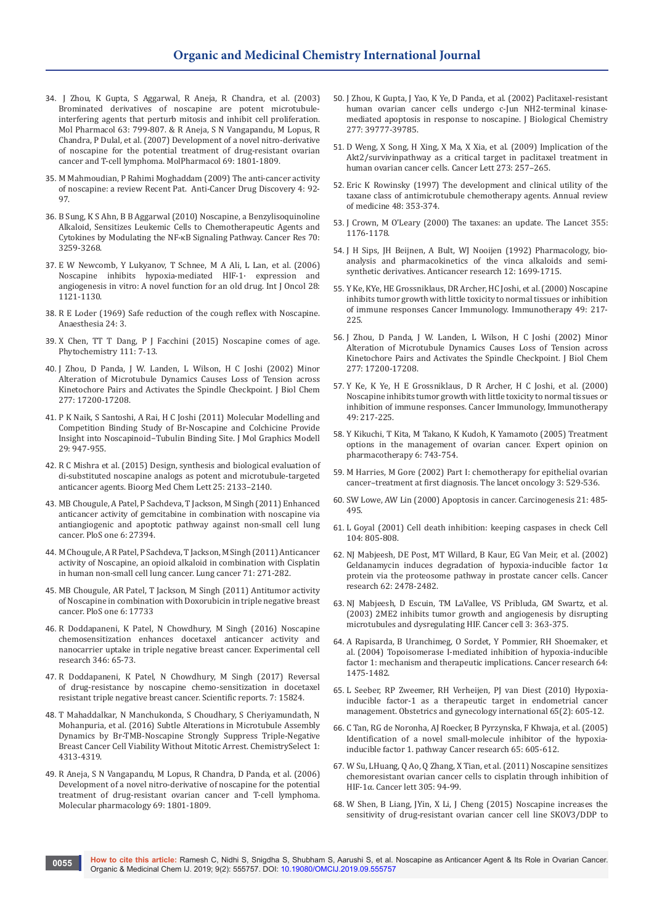- 34. [J Zhou, K Gupta, S Aggarwal, R Aneja, R Chandra, et al. \(2003\)](https://www.ncbi.nlm.nih.gov/pubmed/12644580)  [Brominated derivatives of noscapine are potent microtubule](https://www.ncbi.nlm.nih.gov/pubmed/12644580)[interfering agents that perturb mitosis and inhibit cell proliferation.](https://www.ncbi.nlm.nih.gov/pubmed/12644580)  [Mol Pharmacol 63: 799-807.](https://www.ncbi.nlm.nih.gov/pubmed/12644580) & [R Aneja, S N Vangapandu, M Lopus, R](https://www.ncbi.nlm.nih.gov/pubmed/16517755)  [Chandra, P Dulal, et al. \(2007\) Development of a novel nitro-derivative](https://www.ncbi.nlm.nih.gov/pubmed/16517755)  [of noscapine for the potential treatment of drug-resistant ovarian](https://www.ncbi.nlm.nih.gov/pubmed/16517755)  [cancer and T-cell lymphoma. MolPharmacol 69: 1801-1809.](https://www.ncbi.nlm.nih.gov/pubmed/16517755)
- 35. [M Mahmoudian, P Rahimi Moghaddam \(2009\) The anti-cancer activity](https://www.ncbi.nlm.nih.gov/pubmed/19149691)  [of noscapine: a review Recent Pat. Anti-Cancer Drug Discovery 4: 92-](https://www.ncbi.nlm.nih.gov/pubmed/19149691) [97.](https://www.ncbi.nlm.nih.gov/pubmed/19149691)
- 36. [B Sung, K S Ahn, B B Aggarwal \(2010\) Noscapine, a Benzylisoquinoline](https://www.ncbi.nlm.nih.gov/pmc/articles/PMC2855771/)  [Alkaloid, Sensitizes Leukemic Cells to Chemotherapeutic Agents and](https://www.ncbi.nlm.nih.gov/pmc/articles/PMC2855771/)  [Cytokines by Modulating the NF-κB Signaling Pathway. Cancer Res 70:](https://www.ncbi.nlm.nih.gov/pmc/articles/PMC2855771/)  [3259-3268.](https://www.ncbi.nlm.nih.gov/pmc/articles/PMC2855771/)
- 37. [E W Newcomb, Y Lukyanov, T Schnee, M A Ali, L Lan, et al. \(2006\)](https://www.ncbi.nlm.nih.gov/pubmed/16596228)  [Noscapine inhibits hypoxia-mediated HIF-1· expression and](https://www.ncbi.nlm.nih.gov/pubmed/16596228)  [angiogenesis in vitro: A novel function for an old drug. Int J Oncol 28:](https://www.ncbi.nlm.nih.gov/pubmed/16596228)  [1121-1130.](https://www.ncbi.nlm.nih.gov/pubmed/16596228)
- 38. [R E Loder \(1969\) Safe reduction of the cough reflex with Noscapine.](https://www.ncbi.nlm.nih.gov/pubmed/5791060)  [Anaesthesia 24: 3.](https://www.ncbi.nlm.nih.gov/pubmed/5791060)
- 39. [X Chen, TT T Dang, P J Facchini \(2015\) Noscapine comes of age.](https://www.ncbi.nlm.nih.gov/pubmed/25583437)  [Phytochemistry 111: 7-13.](https://www.ncbi.nlm.nih.gov/pubmed/25583437)
- 40. [J Zhou, D Panda, J W. Landen, L Wilson, H C Joshi \(2002\) Minor](http://www.jbc.org/content/277/19/17200.full)  [Alteration of Microtubule Dynamics Causes Loss of Tension across](http://www.jbc.org/content/277/19/17200.full)  [Kinetochore Pairs and Activates the Spindle Checkpoint. J Biol Chem](http://www.jbc.org/content/277/19/17200.full)  [277: 17200-17208.](http://www.jbc.org/content/277/19/17200.full)
- 41. [P K Naik, S Santoshi, A Rai, H C Joshi \(2011\) Molecular Modelling and](http://www.ir.juit.ac.in:8080/jspui/bitstream/123456789/6054/1/Molecular%20modelling%20and%20competition%20binding%20study%20of%20Br-noscapine%20and.pdf)  [Competition Binding Study of Br-Noscapine and Colchicine Provide](http://www.ir.juit.ac.in:8080/jspui/bitstream/123456789/6054/1/Molecular%20modelling%20and%20competition%20binding%20study%20of%20Br-noscapine%20and.pdf)  [Insight into Noscapinoid−Tubulin Binding Site. J Mol Graphics Modell](http://www.ir.juit.ac.in:8080/jspui/bitstream/123456789/6054/1/Molecular%20modelling%20and%20competition%20binding%20study%20of%20Br-noscapine%20and.pdf)  [29: 947-955.](http://www.ir.juit.ac.in:8080/jspui/bitstream/123456789/6054/1/Molecular%20modelling%20and%20competition%20binding%20study%20of%20Br-noscapine%20and.pdf)
- 42. [R C Mishra et al. \(2015\) Design, synthesis and biological evaluation of](https://www.ncbi.nlm.nih.gov/pubmed/25891106)  [di-substituted noscapine analogs as potent and microtubule-targeted](https://www.ncbi.nlm.nih.gov/pubmed/25891106)  [anticancer agents. Bioorg Med Chem Lett 25: 2133–2140.](https://www.ncbi.nlm.nih.gov/pubmed/25891106)
- 43. [MB Chougule, A Patel, P Sachdeva, T Jackson, M Singh \(2011\) Enhanced](https://www.ncbi.nlm.nih.gov/pubmed/22102891)  [anticancer activity of gemcitabine in combination with noscapine via](https://www.ncbi.nlm.nih.gov/pubmed/22102891)  [antiangiogenic and apoptotic pathway against non-small cell lung](https://www.ncbi.nlm.nih.gov/pubmed/22102891)  [cancer. PloS one 6: 27394.](https://www.ncbi.nlm.nih.gov/pubmed/22102891)
- 44. M Chougule, A R Patel, P Sachdeva, T Jackson, M Singh (2011) Anticancer activity of Noscapine, an opioid alkaloid in combination with Cisplatin in human non-small cell lung cancer. Lung cancer 71: 271-282.
- 45. [MB Chougule, AR Patel, T Jackson, M Singh \(2011\) Antitumor activity](https://journals.plos.org/plosone/article?id=10.1371/journal.pone.0017733)  [of Noscapine in combination with Doxorubicin in triple negative breast](https://journals.plos.org/plosone/article?id=10.1371/journal.pone.0017733)  [cancer. PloS one 6: 17733](https://journals.plos.org/plosone/article?id=10.1371/journal.pone.0017733)
- 46. [R Doddapaneni, K Patel, N Chowdhury, M Singh \(2016\) Noscapine](https://www.ncbi.nlm.nih.gov/pubmed/27177833)  [chemosensitization enhances docetaxel anticancer activity and](https://www.ncbi.nlm.nih.gov/pubmed/27177833)  [nanocarrier uptake in triple negative breast cancer. Experimental cell](https://www.ncbi.nlm.nih.gov/pubmed/27177833)  [research 346: 65-73.](https://www.ncbi.nlm.nih.gov/pubmed/27177833)
- 47. [R Doddapaneni, K Patel, N Chowdhury, M Singh \(2017\) Reversal](https://www.nature.com/articles/s41598-017-15531-1)  [of drug-resistance by noscapine chemo-sensitization in docetaxel](https://www.nature.com/articles/s41598-017-15531-1)  [resistant triple negative breast cancer. Scientific reports. 7: 15824.](https://www.nature.com/articles/s41598-017-15531-1)
- 48. [T Mahaddalkar, N Manchukonda, S Choudhary, S Cheriyamundath, N](https://www.semanticscholar.org/paper/Subtle-Alterations-in-Microtubule-Assembly-Dynamics-Mahaddalkar-Manchukonda/59c1847b4f98ce406d562b4bc9a73cc7e38370e3)  [Mohanpuria, et al. \(2016\) Subtle Alterations in Microtubule Assembly](https://www.semanticscholar.org/paper/Subtle-Alterations-in-Microtubule-Assembly-Dynamics-Mahaddalkar-Manchukonda/59c1847b4f98ce406d562b4bc9a73cc7e38370e3)  [Dynamics by Br-TMB-Noscapine Strongly Suppress Triple-Negative](https://www.semanticscholar.org/paper/Subtle-Alterations-in-Microtubule-Assembly-Dynamics-Mahaddalkar-Manchukonda/59c1847b4f98ce406d562b4bc9a73cc7e38370e3)  [Breast Cancer Cell Viability Without Mitotic Arrest. ChemistrySelect 1:](https://www.semanticscholar.org/paper/Subtle-Alterations-in-Microtubule-Assembly-Dynamics-Mahaddalkar-Manchukonda/59c1847b4f98ce406d562b4bc9a73cc7e38370e3)  [4313-4319.](https://www.semanticscholar.org/paper/Subtle-Alterations-in-Microtubule-Assembly-Dynamics-Mahaddalkar-Manchukonda/59c1847b4f98ce406d562b4bc9a73cc7e38370e3)
- 49. [R Aneja, S N Vangapandu, M Lopus, R Chandra, D Panda, et al. \(2006\)](http://dspace.library.iitb.ac.in/xmlui/handle/10054/4643)  [Development of a novel nitro-derivative of noscapine for the potential](http://dspace.library.iitb.ac.in/xmlui/handle/10054/4643)  [treatment of drug-resistant ovarian cancer and T-cell lymphoma.](http://dspace.library.iitb.ac.in/xmlui/handle/10054/4643)  [Molecular pharmacology 69: 1801-1809.](http://dspace.library.iitb.ac.in/xmlui/handle/10054/4643)
- 50. [J Zhou, K Gupta, J Yao, K Ye, D Panda, et al. \(2002\) Paclitaxel-resistant](http://www.jbc.org/content/277/42/39777.full)  [human ovarian cancer cells undergo c-Jun NH2-terminal kinase](http://www.jbc.org/content/277/42/39777.full)[mediated apoptosis in response to noscapine. J Biological Chemistry](http://www.jbc.org/content/277/42/39777.full)  [277: 39777-39785.](http://www.jbc.org/content/277/42/39777.full)
- 51. [D Weng, X Song, H Xing, X Ma, X Xia, et al. \(2009\) Implication of the](https://www.ncbi.nlm.nih.gov/pubmed/18842333)  [Akt2/survivinpathway as a critical target in paclitaxel treatment in](https://www.ncbi.nlm.nih.gov/pubmed/18842333)  [human ovarian cancer cells. Cancer Lett 273: 257–265.](https://www.ncbi.nlm.nih.gov/pubmed/18842333)
- 52. [Eric K Rowinsky \(1997\) The development and clinical utility of the](https://www.ncbi.nlm.nih.gov/pubmed/9046968)  [taxane class of antimicrotubule chemotherapy agents. Annual review](https://www.ncbi.nlm.nih.gov/pubmed/9046968)  [of medicine 48: 353-374.](https://www.ncbi.nlm.nih.gov/pubmed/9046968)
- 53. [J Crown, M O'Leary \(2000\) The taxanes: an update. The Lancet 355:](https://www.thelancet.com/journals/lancet/article/PIIS0140-6736(00)02074-2/fulltext)  [1176-1178.](https://www.thelancet.com/journals/lancet/article/PIIS0140-6736(00)02074-2/fulltext)
- 54. [J H Sips, JH Beijnen, A Bult, WJ Nooijen \(1992\) Pharmacology, bio](https://www.ncbi.nlm.nih.gov/pubmed/1444238)[analysis and pharmacokinetics of the vinca alkaloids and semi](https://www.ncbi.nlm.nih.gov/pubmed/1444238)[synthetic derivatives. Anticancer research 12: 1699-1715.](https://www.ncbi.nlm.nih.gov/pubmed/1444238)
- 55. [Y Ke, KYe, HE Grossniklaus, DR Archer, HC Joshi, et al. \(2000\) Noscapine](https://www.ncbi.nlm.nih.gov/pubmed/10941904)  [inhibits tumor growth with little toxicity to normal tissues or inhibition](https://www.ncbi.nlm.nih.gov/pubmed/10941904)  [of immune responses Cancer Immunology. Immunotherapy 49: 217-](https://www.ncbi.nlm.nih.gov/pubmed/10941904) [225.](https://www.ncbi.nlm.nih.gov/pubmed/10941904)
- 56. [J Zhou, D Panda, J W. Landen, L Wilson, H C Joshi \(2002\) Minor](http://www.jbc.org/content/277/19/17200.full)  [Alteration of Microtubule Dynamics Causes Loss of Tension across](http://www.jbc.org/content/277/19/17200.full)  [Kinetochore Pairs and Activates the Spindle Checkpoint. J Biol Chem](http://www.jbc.org/content/277/19/17200.full)  [277: 17200-17208.](http://www.jbc.org/content/277/19/17200.full)
- 57. [Y Ke, K Ye, H E Grossniklaus, D R Archer, H C Joshi, et al. \(2000\)](https://www.springermedizin.de/noscapine-inhibits-tumor-growth-with-little-toxicity-to-normal-t/8233238)  [Noscapine inhibits tumor growth with little toxicity to normal tissues or](https://www.springermedizin.de/noscapine-inhibits-tumor-growth-with-little-toxicity-to-normal-t/8233238)  [inhibition of immune responses. Cancer Immunology, Immunotherapy](https://www.springermedizin.de/noscapine-inhibits-tumor-growth-with-little-toxicity-to-normal-t/8233238)  [49: 217-225.](https://www.springermedizin.de/noscapine-inhibits-tumor-growth-with-little-toxicity-to-normal-t/8233238)
- 58. [Y Kikuchi, T Kita, M Takano, K Kudoh, K Yamamoto \(2005\) Treatment](https://www.tandfonline.com/doi/abs/10.1517/14656566.6.5.743)  [options in the management of ovarian cancer. Expert opinion on](https://www.tandfonline.com/doi/abs/10.1517/14656566.6.5.743)  [pharmacotherapy 6: 743-754.](https://www.tandfonline.com/doi/abs/10.1517/14656566.6.5.743)
- 59. [M Harries, M Gore \(2002\) Part I: chemotherapy for epithelial ovarian](https://www.ncbi.nlm.nih.gov/pubmed/12217790)  [cancer–treatment at first diagnosis. The lancet oncology 3: 529-536.](https://www.ncbi.nlm.nih.gov/pubmed/12217790)
- 60. [SW Lowe, AW Lin \(2000\) Apoptosis in cancer. Carcinogenesis 21: 485-](https://academic.oup.com/carcin/article/21/3/485/2365672) [495.](https://academic.oup.com/carcin/article/21/3/485/2365672)
- 61. [L Goyal \(2001\) Cell death inhibition: keeping caspases in check Cell](https://www.ncbi.nlm.nih.gov/pubmed/11290317)  [104: 805-808.](https://www.ncbi.nlm.nih.gov/pubmed/11290317)
- 62. [NJ Mabjeesh, DE Post, MT Willard, B Kaur, EG Van Meir, et al. \(2002\)](https://www.ncbi.nlm.nih.gov/pubmed/11980636)  [Geldanamycin induces degradation of hypoxia-inducible factor 1α](https://www.ncbi.nlm.nih.gov/pubmed/11980636)  [protein via the proteosome pathway in prostate cancer cells. Cancer](https://www.ncbi.nlm.nih.gov/pubmed/11980636)  [research 62: 2478-2482.](https://www.ncbi.nlm.nih.gov/pubmed/11980636)
- 63. [NJ Mabjeesh, D Escuin, TM LaVallee, VS Pribluda, GM Swartz, et al.](https://www.ncbi.nlm.nih.gov/pubmed/12726862)  [\(2003\) 2ME2 inhibits tumor growth and angiogenesis by disrupting](https://www.ncbi.nlm.nih.gov/pubmed/12726862)  [microtubules and dysregulating HIF. Cancer cell 3: 363-375.](https://www.ncbi.nlm.nih.gov/pubmed/12726862)
- 64. [A Rapisarda, B Uranchimeg, O Sordet, Y Pommier, RH Shoemaker, et](https://www.ncbi.nlm.nih.gov/pubmed/14983893)  [al. \(2004\) Topoisomerase I-mediated inhibition of hypoxia-inducible](https://www.ncbi.nlm.nih.gov/pubmed/14983893)  [factor 1: mechanism and therapeutic implications. Cancer research 64:](https://www.ncbi.nlm.nih.gov/pubmed/14983893)  [1475-1482.](https://www.ncbi.nlm.nih.gov/pubmed/14983893)
- 65. [L Seeber, RP Zweemer, RH Verheijen, PJ van Diest \(2010\) Hypoxia](https://www.hindawi.com/journals/ogi/2010/580971/)[inducible factor-1 as a therapeutic target in endometrial cancer](https://www.hindawi.com/journals/ogi/2010/580971/)  [management. Obstetrics and gynecology international 65\(2\): 605-12.](https://www.hindawi.com/journals/ogi/2010/580971/)
- 66. [C Tan, RG de Noronha, AJ Roecker, B Pyrzynska, F Khwaja, et al. \(2005\)](https://www.ncbi.nlm.nih.gov/pubmed/15695405)  [Identification of a novel small-molecule inhibitor of the hypoxia](https://www.ncbi.nlm.nih.gov/pubmed/15695405)[inducible factor 1. pathway Cancer research 65: 605-612.](https://www.ncbi.nlm.nih.gov/pubmed/15695405)
- 67. [W Su, LHuang, Q Ao, Q Zhang, X Tian, et al. \(2011\) Noscapine sensitizes](https://www.ncbi.nlm.nih.gov/pubmed/21421285)  [chemoresistant ovarian cancer cells to cisplatin through inhibition of](https://www.ncbi.nlm.nih.gov/pubmed/21421285)  [HIF-1α. Cancer lett 305: 94-99.](https://www.ncbi.nlm.nih.gov/pubmed/21421285)
- 68. [W Shen, B Liang, JYin, X Li, J Cheng \(2015\) Noscapine increases the](https://www.ncbi.nlm.nih.gov/pubmed/25510462)  [sensitivity of drug-resistant ovarian cancer cell line SKOV3/DDP to](https://www.ncbi.nlm.nih.gov/pubmed/25510462)